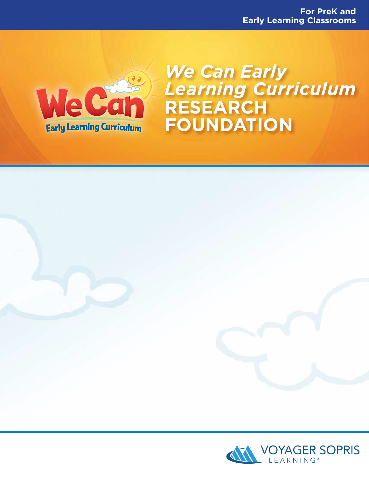

*We Can Early Learning Curriculum* **FOUNDATION**



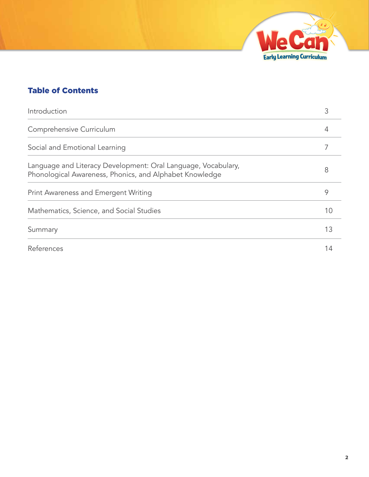

# Table of Contents

| Introduction                                                                                                             | 3  |
|--------------------------------------------------------------------------------------------------------------------------|----|
| Comprehensive Curriculum                                                                                                 |    |
| Social and Emotional Learning                                                                                            |    |
| Language and Literacy Development: Oral Language, Vocabulary,<br>Phonological Awareness, Phonics, and Alphabet Knowledge | 8  |
| Print Awareness and Emergent Writing                                                                                     | 9  |
| Mathematics, Science, and Social Studies                                                                                 | 10 |
| Summary                                                                                                                  | 13 |
| References                                                                                                               | 14 |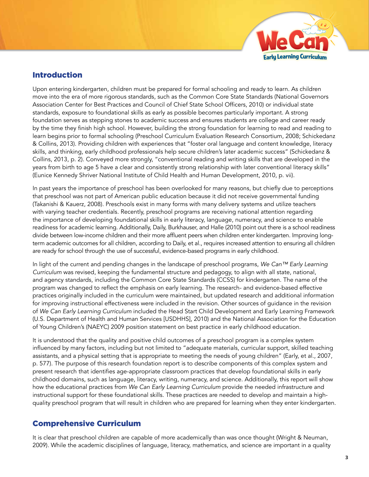

## Introduction

Upon entering kindergarten, children must be prepared for formal schooling and ready to learn. As children move into the era of more rigorous standards, such as the Common Core State Standards (National Governors Association Center for Best Practices and Council of Chief State School Officers, 2010) or individual state standards, exposure to foundational skills as early as possible becomes particularly important. A strong foundation serves as stepping stones to academic success and ensures students are college and career ready by the time they finish high school. However, building the strong foundation for learning to read and reading to learn begins prior to formal schooling (Preschool Curriculum Evaluation Research Consortium, 2008; Schickedanz & Collins, 2013). Providing children with experiences that "foster oral language and content knowledge, literacy skills, and thinking, early childhood professionals help secure children's later academic success" (Schickedanz & Collins, 2013, p. 2). Conveyed more strongly, "conventional reading and writing skills that are developed in the years from birth to age 5 have a clear and consistently strong relationship with later conventional literacy skills" (Eunice Kennedy Shriver National Institute of Child Health and Human Development, 2010, p. vii).

In past years the importance of preschool has been overlooked for many reasons, but chiefly due to perceptions that preschool was not part of American public education because it did not receive governmental funding (Takanishi & Kauerz, 2008). Preschools exist in many forms with many delivery systems and utilize teachers with varying teacher credentials. Recently, preschool programs are receiving national attention regarding the importance of developing foundational skills in early literacy, language, numeracy, and science to enable readiness for academic learning. Additionally, Daily, Burkhauser, and Halle (2010) point out there is a school readiness divide between low-income children and their more affluent peers when children enter kindergarten. Improving longterm academic outcomes for all children, according to Daily, et al., requires increased attention to ensuring all children are ready for school through the use of successful, evidence-based programs in early childhood.

In light of the current and pending changes in the landscape of preschool programs, *We Can™ Early Learning Curriculum* was revised, keeping the fundamental structure and pedagogy, to align with all state, national, and agency standards, including the Common Core State Standards (CCSS) for kindergarten. The name of the program was changed to reflect the emphasis on early learning. The research- and evidence-based effective practices originally included in the curriculum were maintained, but updated research and additional information for improving instructional effectiveness were included in the revision. Other sources of guidance in the revision of *We Can Early Learning Curriculum* included the Head Start Child Development and Early Learning Framework (U.S. Department of Health and Human Services [USDHHS], 2010) and the National Association for the Education of Young Children's (NAEYC) 2009 position statement on best practice in early childhood education.

It is understood that the quality and positive child outcomes of a preschool program is a complex system influenced by many factors, including but not limited to "adequate materials, curricular support, skilled teaching assistants, and a physical setting that is appropriate to meeting the needs of young children" (Early, et al., 2007, p. 577). The purpose of this research foundation report is to describe components of this complex system and present research that identifies age-appropriate classroom practices that develop foundational skills in early childhood domains, such as language, literacy, writing, numeracy, and science. Additionally, this report will show how the educational practices from *We Can Early Learning Curriculum* provide the needed infrastructure and instructional support for these foundational skills. These practices are needed to develop and maintain a highquality preschool program that will result in children who are prepared for learning when they enter kindergarten.

# Comprehensive Curriculum

It is clear that preschool children are capable of more academically than was once thought (Wright & Neuman, 2009). While the academic disciplines of language, literacy, mathematics, and science are important in a quality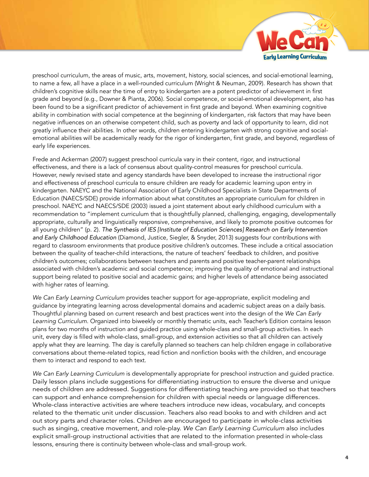

preschool curriculum, the areas of music, arts, movement, history, social sciences, and social-emotional learning, to name a few, all have a place in a well-rounded curriculum (Wright & Neuman, 2009). Research has shown that children's cognitive skills near the time of entry to kindergarten are a potent predictor of achievement in first grade and beyond (e.g., Downer & Pianta, 2006). Social competence, or social-emotional development, also has been found to be a significant predictor of achievement in first grade and beyond. When examining cognitive ability in combination with social competence at the beginning of kindergarten, risk factors that may have been negative influences on an otherwise competent child, such as poverty and lack of opportunity to learn, did not greatly influence their abilities. In other words, children entering kindergarten with strong cognitive and socialemotional abilities will be academically ready for the rigor of kindergarten, first grade, and beyond, regardless of early life experiences.

Frede and Ackerman (2007) suggest preschool curricula vary in their content, rigor, and instructional effectiveness, and there is a lack of consensus about quality-control measures for preschool curricula. However, newly revised state and agency standards have been developed to increase the instructional rigor and effectiveness of preschool curricula to ensure children are ready for academic learning upon entry in kindergarten. NAEYC and the National Association of Early Childhood Specialists in State Departments of Education (NAECS/SDE) provide information about what constitutes an appropriate curriculum for children in preschool. NAEYC and NAECS/SDE (2003) issued a joint statement about early childhood curriculum with a recommendation to "implement curriculum that is thoughtfully planned, challenging, engaging, developmentally appropriate, culturally and linguistically responsive, comprehensive, and likely to promote positive outcomes for all young children" (p. 2). *The Synthesis of IES [Institute of Education Sciences] Research on Early Intervention and Early Childhood Education* (Diamond, Justice, Siegler, & Snyder, 2013) suggests four contributions with regard to classroom environments that produce positive children's outcomes. These include a critical association between the quality of teacher-child interactions, the nature of teachers' feedback to children, and positive children's outcomes; collaborations between teachers and parents and positive teacher-parent relationships associated with children's academic and social competence; improving the quality of emotional and instructional support being related to positive social and academic gains; and higher levels of attendance being associated with higher rates of learning.

*We Can Early Learning Curriculum* provides teacher support for age-appropriate, explicit modeling and guidance by integrating learning across developmental domains and academic subject areas on a daily basis. Thoughtful planning based on current research and best practices went into the design of the *We Can Early Learning Curriculum*. Organized into biweekly or monthly thematic units, each Teacher's Edition contains lesson plans for two months of instruction and guided practice using whole-class and small-group activities. In each unit, every day is filled with whole-class, small-group, and extension activities so that all children can actively apply what they are learning. The day is carefully planned so teachers can help children engage in collaborative conversations about theme-related topics, read fiction and nonfiction books with the children, and encourage them to interact and respond to each text.

*We Can Early Learning Curriculum* is developmentally appropriate for preschool instruction and guided practice. Daily lesson plans include suggestions for differentiating instruction to ensure the diverse and unique needs of children are addressed. Suggestions for differentiating teaching are provided so that teachers can support and enhance comprehension for children with special needs or language differences. Whole-class interactive activities are where teachers introduce new ideas, vocabulary, and concepts related to the thematic unit under discussion. Teachers also read books to and with children and act out story parts and character roles. Children are encouraged to participate in whole-class activities such as singing, creative movement, and role-play. *We Can Early Learning Curriculum* also includes explicit small-group instructional activities that are related to the information presented in whole-class lessons, ensuring there is continuity between whole-class and small-group work.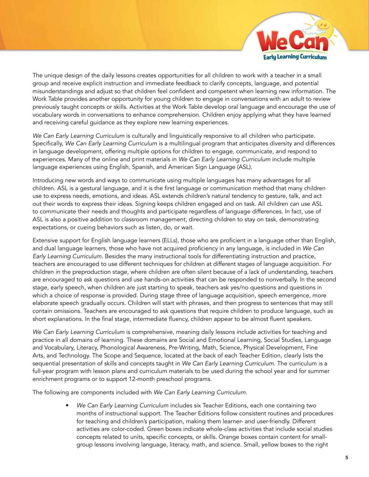

The unique design of the daily lessons creates opportunities for all children to work with a teacher in a small group and receive explicit instruction and immediate feedback to clarify concepts, language, and potential misunderstandings and adjust so that children feel confident and competent when learning new information. The Work Table provides another opportunity for young children to engage in conversations with an adult to review previously taught concepts or skills. Activities at the Work Table develop oral language and encourage the use of vocabulary words in conversations to enhance comprehension. Children enjoy applying what they have learned and receiving careful guidance as they explore new learning experiences.

*We Can Early Learning Curriculum* is culturally and linguistically responsive to all children who participate. Specifically, *We Can Early Learning Curriculum* is a multilingual program that anticipates diversity and differences in language development, offering multiple options for children to engage, communicate, and respond to experiences. Many of the online and print materials in *We Can Early Learning Curriculum* include multiple language experiences using English, Spanish, and American Sign Language (ASL).

Introducing new words and ways to communicate using multiple languages has many advantages for all children. ASL is a gestural language, and it is the first language or communication method that many children use to express needs, emotions, and ideas. ASL extends children's natural tendency to gesture, talk, and act out their words to express their ideas. Signing keeps children engaged and on task. All children can use ASL to communicate their needs and thoughts and participate regardless of language differences. In fact, use of ASL is also a positive addition to classroom management, directing children to stay on task, demonstrating expectations, or cueing behaviors such as listen, do, or wait.

Extensive support for English language learners (ELLs), those who are proficient in a language other than English, and dual language learners, those who have not acquired proficiency in any language, is included in *We Can Early Learning Curriculum*. Besides the many instructional tools for differentiating instruction and practice, teachers are encouraged to use different techniques for children at different stages of language acquisition. For children in the preproduction stage, where children are often silent because of a lack of understanding, teachers are encouraged to ask questions and use hands-on activities that can be responded to nonverbally. In the second stage, early speech, when children are just starting to speak, teachers ask yes/no questions and questions in which a choice of response is provided. During stage three of language acquisition, speech emergence, more elaborate speech gradually occurs. Children will start with phrases, and then progress to sentences that may still contain omissions. Teachers are encouraged to ask questions that require children to produce language, such as short explanations. In the final stage, intermediate fluency, children appear to be almost fluent speakers.

*We Can Early Learning Curriculum* is comprehensive, meaning daily lessons include activities for teaching and practice in all domains of learning. These domains are Social and Emotional Learning, Social Studies, Language and Vocabulary, Literacy, Phonological Awareness, Pre-Writing, Math, Science, Physical Development, Fine Arts, and Technology. The Scope and Sequence, located at the back of each Teacher Edition, clearly lists the sequential presentation of skills and concepts taught in *We Can Early Learning Curriculum*. The curriculum is a full-year program with lesson plans and curriculum materials to be used during the school year and for summer enrichment programs or to support 12-month preschool programs.

The following are components included with *We Can Early Learning Curriculum*.

• *We Can Early Learning Curriculum* includes six Teacher Editions, each one containing two months of instructional support. The Teacher Editions follow consistent routines and procedures for teaching and children's participation, making them learner- and user-friendly. Different activities are color-coded. Green boxes indicate whole-class activities that include social studies concepts related to units, specific concepts, or skills. Orange boxes contain content for smallgroup lessons involving language, literacy, math, and science. Small, yellow boxes to the right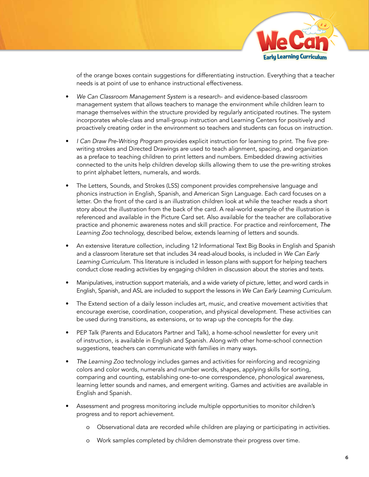

of the orange boxes contain suggestions for differentiating instruction. Everything that a teacher needs is at point of use to enhance instructional effectiveness.

- *We Can Classroom Management System* is a research- and evidence-based classroom management system that allows teachers to manage the environment while children learn to manage themselves within the structure provided by regularly anticipated routines. The system incorporates whole-class and small-group instruction and Learning Centers for positively and proactively creating order in the environment so teachers and students can focus on instruction.
- *I Can Draw Pre-Writing Program* provides explicit instruction for learning to print. The five prewriting strokes and Directed Drawings are used to teach alignment, spacing, and organization as a preface to teaching children to print letters and numbers. Embedded drawing activities connected to the units help children develop skills allowing them to use the pre-writing strokes to print alphabet letters, numerals, and words.
- The Letters, Sounds, and Strokes (LSS) component provides comprehensive language and phonics instruction in English, Spanish, and American Sign Language. Each card focuses on a letter. On the front of the card is an illustration children look at while the teacher reads a short story about the illustration from the back of the card. A real-world example of the illustration is referenced and available in the Picture Card set. Also available for the teacher are collaborative practice and phonemic awareness notes and skill practice. For practice and reinforcement, *The Learning Zoo* technology, described below, extends learning of letters and sounds.
- An extensive literature collection, including 12 Informational Text Big Books in English and Spanish and a classroom literature set that includes 34 read-aloud books, is included in *We Can Early Learning Curriculum*. This literature is included in lesson plans with support for helping teachers conduct close reading activities by engaging children in discussion about the stories and texts.
- Manipulatives, instruction support materials, and a wide variety of picture, letter, and word cards in English, Spanish, and ASL are included to support the lessons in *We Can Early Learning Curriculum*.
- The Extend section of a daily lesson includes art, music, and creative movement activities that encourage exercise, coordination, cooperation, and physical development. These activities can be used during transitions, as extensions, or to wrap up the concepts for the day.
- PEP Talk (Parents and Educators Partner and Talk), a home-school newsletter for every unit of instruction, is available in English and Spanish. Along with other home-school connection suggestions, teachers can communicate with families in many ways.
- *The Learning Zoo* technology includes games and activities for reinforcing and recognizing colors and color words, numerals and number words, shapes, applying skills for sorting, comparing and counting, establishing one-to-one correspondence, phonological awareness, learning letter sounds and names, and emergent writing. Games and activities are available in English and Spanish.
- Assessment and progress monitoring include multiple opportunities to monitor children's progress and to report achievement.
	- o Observational data are recorded while children are playing or participating in activities.
	- o Work samples completed by children demonstrate their progress over time.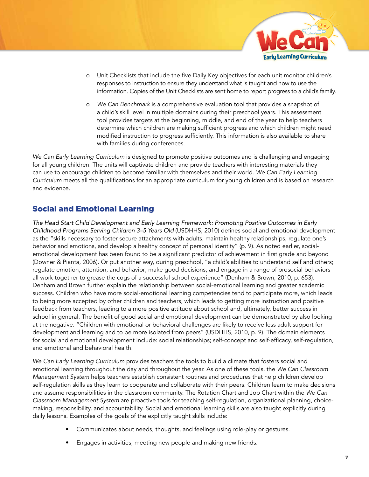

- o Unit Checklists that include the five Daily Key objectives for each unit monitor children's responses to instruction to ensure they understand what is taught and how to use the information. Copies of the Unit Checklists are sent home to report progress to a child's family.
- o *We Can Benchmark* is a comprehensive evaluation tool that provides a snapshot of a child's skill level in multiple domains during their preschool years. This assessment tool provides targets at the beginning, middle, and end of the year to help teachers determine which children are making sufficient progress and which children might need modified instruction to progress sufficiently. This information is also available to share with families during conferences.

*We Can Early Learning Curriculum* is designed to promote positive outcomes and is challenging and engaging for all young children. The units will captivate children and provide teachers with interesting materials they can use to encourage children to become familiar with themselves and their world. *We Can Early Learning Curriculum* meets all the qualifications for an appropriate curriculum for young children and is based on research and evidence.

# Social and Emotional Learning

*The Head Start Child Development and Early Learning Framework: Promoting Positive Outcomes in Early Childhood Programs Serving Children 3–5 Years Old* (USDHHS, 2010) defines social and emotional development as the "skills necessary to foster secure attachments with adults, maintain healthy relationships, regulate one's behavior and emotions, and develop a healthy concept of personal identity" (p. 9). As noted earlier, socialemotional development has been found to be a significant predictor of achievement in first grade and beyond (Downer & Pianta, 2006). Or put another way, during preschool, "a child's abilities to understand self and others; regulate emotion, attention, and behavior; make good decisions; and engage in a range of prosocial behaviors all work together to grease the cogs of a successful school experience" (Denham & Brown, 2010, p. 653). Denham and Brown further explain the relationship between social-emotional learning and greater academic success. Children who have more social-emotional learning competencies tend to participate more, which leads to being more accepted by other children and teachers, which leads to getting more instruction and positive feedback from teachers, leading to a more positive attitude about school and, ultimately, better success in school in general. The benefit of good social and emotional development can be demonstrated by also looking at the negative. "Children with emotional or behavioral challenges are likely to receive less adult support for development and learning and to be more isolated from peers" (USDHHS, 2010, p. 9). The domain elements for social and emotional development include: social relationships; self-concept and self-efficacy, self-regulation, and emotional and behavioral health.

*We Can Early Learning Curriculum* provides teachers the tools to build a climate that fosters social and emotional learning throughout the day and throughout the year. As one of these tools, the *We Can Classroom Management System* helps teachers establish consistent routines and procedures that help children develop self-regulation skills as they learn to cooperate and collaborate with their peers. Children learn to make decisions and assume responsibilities in the classroom community. The Rotation Chart and Job Chart within the *We Can Classroom Management System* are proactive tools for teaching self-regulation, organizational planning, choicemaking, responsibility, and accountability. Social and emotional learning skills are also taught explicitly during daily lessons. Examples of the goals of the explicitly taught skills include:

- Communicates about needs, thoughts, and feelings using role-play or gestures.
- Engages in activities, meeting new people and making new friends.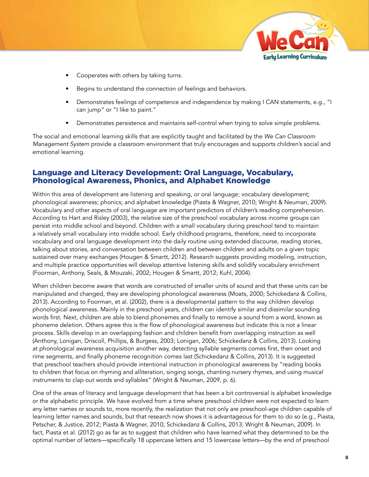

- Cooperates with others by taking turns.
- Begins to understand the connection of feelings and behaviors.
- Demonstrates feelings of competence and independence by making I CAN statements, e.g., "I can jump" or "I like to paint."
- Demonstrates persistence and maintains self-control when trying to solve simple problems.

The social and emotional learning skills that are explicitly taught and facilitated by the *We Can Classroom Management System* provide a classroom environment that truly encourages and supports children's social and emotional learning.

#### Language and Literacy Development: Oral Language, Vocabulary, Phonological Awareness, Phonics, and Alphabet Knowledge

Within this area of development are listening and speaking, or oral language; vocabulary development; phonological awareness; phonics; and alphabet knowledge (Piasta & Wagner, 2010; Wright & Neuman, 2009). Vocabulary and other aspects of oral language are important predictors of children's reading comprehension. According to Hart and Risley (2003), the relative size of the preschool vocabulary across income groups can persist into middle school and beyond. Children with a small vocabulary during preschool tend to maintain a relatively small vocabulary into middle school. Early childhood programs, therefore, need to incorporate vocabulary and oral language development into the daily routine using extended discourse, reading stories, talking about stories, and conversation between children and between children and adults on a given topic sustained over many exchanges (Hougen & Smartt, 2012). Research suggests providing modeling, instruction, and multiple practice opportunities will develop attentive listening skills and solidify vocabulary enrichment (Foorman, Anthony, Seals, & Mouzaki, 2002; Hougen & Smartt, 2012; Kuhl, 2004).

When children become aware that words are constructed of smaller units of sound and that these units can be manipulated and changed, they are developing phonological awareness (Moats, 2000; Schickedanz & Collins, 2013). According to Foorman, et al. (2002), there is a developmental pattern to the way children develop phonological awareness. Mainly in the preschool years, children can identify similar and dissimilar sounding words first. Next, children are able to blend phonemes and finally to remove a sound from a word, known as phoneme deletion. Others agree this is the flow of phonological awareness but indicate this is not a linear process. Skills develop in an overlapping fashion and children benefit from overlapping instruction as well (Anthony, Lonigan, Driscoll, Phillips, & Burgess, 2003; Lonigan, 2006; Schickedanz & Collins, 2013). Looking at phonological awareness acquisition another way, detecting syllable segments comes first, then onset and rime segments, and finally phoneme recognition comes last (Schickedanz & Collins, 2013). It is suggested that preschool teachers should provide intentional instruction in phonological awareness by "reading books to children that focus on rhyming and alliteration, singing songs, chanting nursery rhymes, and using musical instruments to clap out words and syllables" (Wright & Neuman, 2009, p. 6).

One of the areas of literacy and language development that has been a bit controversial is alphabet knowledge or the alphabetic principle. We have evolved from a time where preschool children were not expected to learn any letter names or sounds to, more recently, the realization that not only are preschool-age children capable of learning letter names and sounds, but that research now shows it is advantageous for them to do so (e.g., Piasta, Petscher, & Justice, 2012; Piasta & Wagner, 2010; Schickedanz & Collins, 2013; Wright & Neuman, 2009). In fact, Piasta et al. (2012) go as far as to suggest that children who have learned what they determined to be the optimal number of letters—specifically 18 uppercase letters and 15 lowercase letters—by the end of preschool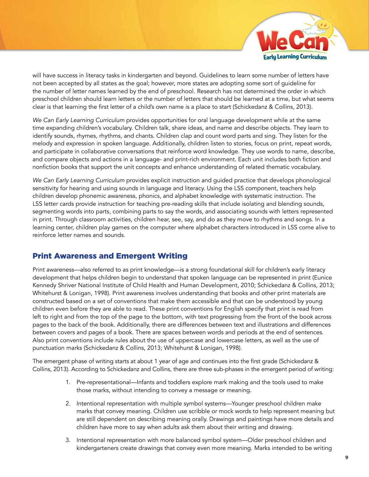

will have success in literacy tasks in kindergarten and beyond. Guidelines to learn some number of letters have not been accepted by all states as the goal; however, more states are adopting some sort of guideline for the number of letter names learned by the end of preschool. Research has not determined the order in which preschool children should learn letters or the number of letters that should be learned at a time, but what seems clear is that learning the first letter of a child's own name is a place to start (Schickedanz & Collins, 2013).

*We Can Early Learning Curriculum* provides opportunities for oral language development while at the same time expanding children's vocabulary. Children talk, share ideas, and name and describe objects. They learn to identify sounds, rhymes, rhythms, and chants. Children clap and count word parts and sing. They listen for the melody and expression in spoken language. Additionally, children listen to stories, focus on print, repeat words, and participate in collaborative conversations that reinforce word knowledge. They use words to name, describe, and compare objects and actions in a language- and print-rich environment. Each unit includes both fiction and nonfiction books that support the unit concepts and enhance understanding of related thematic vocabulary.

*We Can Early Learning Curriculum* provides explicit instruction and guided practice that develops phonological sensitivity for hearing and using sounds in language and literacy. Using the LSS component, teachers help children develop phonemic awareness, phonics, and alphabet knowledge with systematic instruction. The LSS letter cards provide instruction for teaching pre-reading skills that include isolating and blending sounds, segmenting words into parts, combining parts to say the words, and associating sounds with letters represented in print. Through classroom activities, children hear, see, say, and do as they move to rhythms and songs. In a learning center, children play games on the computer where alphabet characters introduced in LSS come alive to reinforce letter names and sounds.

# Print Awareness and Emergent Writing

Print awareness—also referred to as print knowledge—is a strong foundational skill for children's early literacy development that helps children begin to understand that spoken language can be represented in print (Eunice Kennedy Shriver National Institute of Child Health and Human Development, 2010; Schickedanz & Collins, 2013; Whitehurst & Lonigan, 1998). Print awareness involves understanding that books and other print materials are constructed based on a set of conventions that make them accessible and that can be understood by young children even before they are able to read. These print conventions for English specify that print is read from left to right and from the top of the page to the bottom, with text progressing from the front of the book across pages to the back of the book. Additionally, there are differences between text and illustrations and differences between covers and pages of a book. There are spaces between words and periods at the end of sentences. Also print conventions include rules about the use of uppercase and lowercase letters, as well as the use of punctuation marks (Schickedanz & Collins, 2013; Whitehurst & Lonigan, 1998).

The emergent phase of writing starts at about 1 year of age and continues into the first grade (Schickedanz & Collins, 2013). According to Schickedanz and Collins, there are three sub-phases in the emergent period of writing:

- 1. Pre-representational—Infants and toddlers explore mark making and the tools used to make those marks, without intending to convey a message or meaning.
- 2. Intentional representation with multiple symbol systems—Younger preschool children make marks that convey meaning. Children use scribble or mock words to help represent meaning but are still dependent on describing meaning orally. Drawings and paintings have more details and children have more to say when adults ask them about their writing and drawing.
- 3. Intentional representation with more balanced symbol system—Older preschool children and kindergarteners create drawings that convey even more meaning. Marks intended to be writing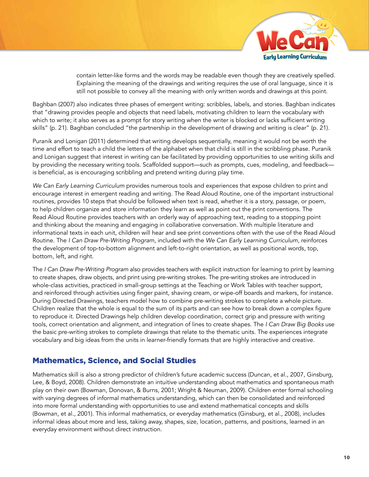

contain letter-like forms and the words may be readable even though they are creatively spelled. Explaining the meaning of the drawings and writing requires the use of oral language, since it is still not possible to convey all the meaning with only written words and drawings at this point.

Baghban (2007) also indicates three phases of emergent writing: scribbles, labels, and stories. Baghban indicates that "drawing provides people and objects that need labels, motivating children to learn the vocabulary with which to write; it also serves as a prompt for story writing when the writer is blocked or lacks sufficient writing skills" (p. 21). Baghban concluded "the partnership in the development of drawing and writing is clear" (p. 21).

Puranik and Lonigan (2011) determined that writing develops sequentially, meaning it would not be worth the time and effort to teach a child the letters of the alphabet when that child is still in the scribbling phase. Puranik and Lonigan suggest that interest in writing can be facilitated by providing opportunities to use writing skills and by providing the necessary writing tools. Scaffolded support—such as prompts, cues, modeling, and feedback is beneficial, as is encouraging scribbling and pretend writing during play time.

*We Can Early Learning Curriculum* provides numerous tools and experiences that expose children to print and encourage interest in emergent reading and writing. The Read Aloud Routine, one of the important instructional routines, provides 10 steps that should be followed when text is read, whether it is a story, passage, or poem, to help children organize and store information they learn as well as point out the print conventions. The Read Aloud Routine provides teachers with an orderly way of approaching text, reading to a stopping point and thinking about the meaning and engaging in collaborative conversation. With multiple literature and informational texts in each unit, children will hear and see print conventions often with the use of the Read Aloud Routine. The *I Can Draw Pre-Writing Program*, included with the *We Can Early Learning Curriculum*, reinforces the development of top-to-bottom alignment and left-to-right orientation, as well as positional words, top, bottom, left, and right.

The *I Can Draw Pre-Writing Program* also provides teachers with explicit instruction for learning to print by learning to create shapes, draw objects, and print using pre-writing strokes. The pre-writing strokes are introduced in whole-class activities, practiced in small-group settings at the Teaching or Work Tables with teacher support, and reinforced through activities using finger paint, shaving cream, or wipe-off boards and markers, for instance. During Directed Drawings, teachers model how to combine pre-writing strokes to complete a whole picture. Children realize that the whole is equal to the sum of its parts and can see how to break down a complex figure to reproduce it. Directed Drawings help children develop coordination, correct grip and pressure with writing tools, correct orientation and alignment, and integration of lines to create shapes. The *I Can Draw Big Books* use the basic pre-writing strokes to complete drawings that relate to the thematic units. The experiences integrate vocabulary and big ideas from the units in learner-friendly formats that are highly interactive and creative.

### Mathematics, Science, and Social Studies

Mathematics skill is also a strong predictor of children's future academic success (Duncan, et al., 2007, Ginsburg, Lee, & Boyd, 2008). Children demonstrate an intuitive understanding about mathematics and spontaneous math play on their own (Bowman, Donovan, & Burns, 2001; Wright & Neuman, 2009). Children enter formal schooling with varying degrees of informal mathematics understanding, which can then be consolidated and reinforced into more formal understanding with opportunities to use and extend mathematical concepts and skills (Bowman, et al., 2001). This informal mathematics, or everyday mathematics (Ginsburg, et al., 2008), includes informal ideas about more and less, taking away, shapes, size, location, patterns, and positions, learned in an everyday environment without direct instruction.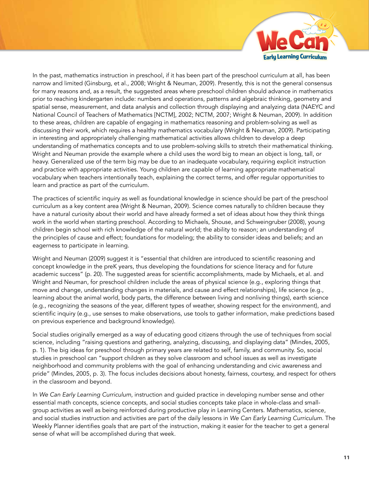

In the past, mathematics instruction in preschool, if it has been part of the preschool curriculum at all, has been narrow and limited (Ginsburg, et al., 2008; Wright & Neuman, 2009). Presently, this is not the general consensus for many reasons and, as a result, the suggested areas where preschool children should advance in mathematics prior to reaching kindergarten include: numbers and operations, patterns and algebraic thinking, geometry and spatial sense, measurement, and data analysis and collection through displaying and analyzing data (NAEYC and National Council of Teachers of Mathematics [NCTM], 2002; NCTM, 2007; Wright & Neuman, 2009). In addition to these areas, children are capable of engaging in mathematics reasoning and problem-solving as well as discussing their work, which requires a healthy mathematics vocabulary (Wright & Neuman, 2009). Participating in interesting and appropriately challenging mathematical activities allows children to develop a deep understanding of mathematics concepts and to use problem-solving skills to stretch their mathematical thinking. Wright and Neuman provide the example where a child uses the word big to mean an object is long, tall, or heavy. Generalized use of the term big may be due to an inadequate vocabulary, requiring explicit instruction and practice with appropriate activities. Young children are capable of learning appropriate mathematical vocabulary when teachers intentionally teach, explaining the correct terms, and offer regular opportunities to learn and practice as part of the curriculum.

The practices of scientific inquiry as well as foundational knowledge in science should be part of the preschool curriculum as a key content area (Wright & Neuman, 2009). Science comes naturally to children because they have a natural curiosity about their world and have already formed a set of ideas about how they think things work in the world when starting preschool. According to Michaels, Shouse, and Schweingruber (2008), young children begin school with rich knowledge of the natural world; the ability to reason; an understanding of the principles of cause and effect; foundations for modeling; the ability to consider ideas and beliefs; and an eagerness to participate in learning.

Wright and Neuman (2009) suggest it is "essential that children are introduced to scientific reasoning and concept knowledge in the preK years, thus developing the foundations for science literacy and for future academic success" (p. 20). The suggested areas for scientific accomplishments, made by Michaels, et al. and Wright and Neuman, for preschool children include the areas of physical science (e.g., exploring things that move and change, understanding changes in materials, and cause and effect relationships), life science (e.g., learning about the animal world, body parts, the difference between living and nonliving things), earth science (e.g., recognizing the seasons of the year, different types of weather, showing respect for the environment), and scientific inquiry (e.g., use senses to make observations, use tools to gather information, make predictions based on previous experience and background knowledge).

Social studies originally emerged as a way of educating good citizens through the use of techniques from social science, including "raising questions and gathering, analyzing, discussing, and displaying data" (Mindes, 2005, p. 1). The big ideas for preschool through primary years are related to self, family, and community. So, social studies in preschool can "support children as they solve classroom and school issues as well as investigate neighborhood and community problems with the goal of enhancing understanding and civic awareness and pride" (Mindes, 2005, p. 3). The focus includes decisions about honesty, fairness, courtesy, and respect for others in the classroom and beyond.

In *We Can Early Learning Curriculum*, instruction and guided practice in developing number sense and other essential math concepts, science concepts, and social studies concepts take place in whole-class and smallgroup activities as well as being reinforced during productive play in Learning Centers. Mathematics, science, and social studies instruction and activities are part of the daily lessons in *We Can Early Learning Curriculum*. The Weekly Planner identifies goals that are part of the instruction, making it easier for the teacher to get a general sense of what will be accomplished during that week.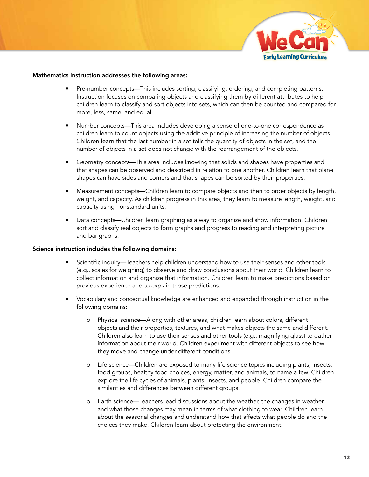

#### Mathematics instruction addresses the following areas:

- Pre-number concepts—This includes sorting, classifying, ordering, and completing patterns. Instruction focuses on comparing objects and classifying them by different attributes to help children learn to classify and sort objects into sets, which can then be counted and compared for more, less, same, and equal.
- Number concepts—This area includes developing a sense of one-to-one correspondence as children learn to count objects using the additive principle of increasing the number of objects. Children learn that the last number in a set tells the quantity of objects in the set, and the number of objects in a set does not change with the rearrangement of the objects.
- Geometry concepts—This area includes knowing that solids and shapes have properties and that shapes can be observed and described in relation to one another. Children learn that plane shapes can have sides and corners and that shapes can be sorted by their properties.
- Measurement concepts—Children learn to compare objects and then to order objects by length, weight, and capacity. As children progress in this area, they learn to measure length, weight, and capacity using nonstandard units.
- Data concepts—Children learn graphing as a way to organize and show information. Children sort and classify real objects to form graphs and progress to reading and interpreting picture and bar graphs.

#### Science instruction includes the following domains:

- Scientific inquiry—Teachers help children understand how to use their senses and other tools (e.g., scales for weighing) to observe and draw conclusions about their world. Children learn to collect information and organize that information. Children learn to make predictions based on previous experience and to explain those predictions.
- Vocabulary and conceptual knowledge are enhanced and expanded through instruction in the following domains:
	- o Physical science—Along with other areas, children learn about colors, different objects and their properties, textures, and what makes objects the same and different. Children also learn to use their senses and other tools (e.g., magnifying glass) to gather information about their world. Children experiment with different objects to see how they move and change under different conditions.
	- o Life science—Children are exposed to many life science topics including plants, insects, food groups, healthy food choices, energy, matter, and animals, to name a few. Children explore the life cycles of animals, plants, insects, and people. Children compare the similarities and differences between different groups.
	- o Earth science—Teachers lead discussions about the weather, the changes in weather, and what those changes may mean in terms of what clothing to wear. Children learn about the seasonal changes and understand how that affects what people do and the choices they make. Children learn about protecting the environment.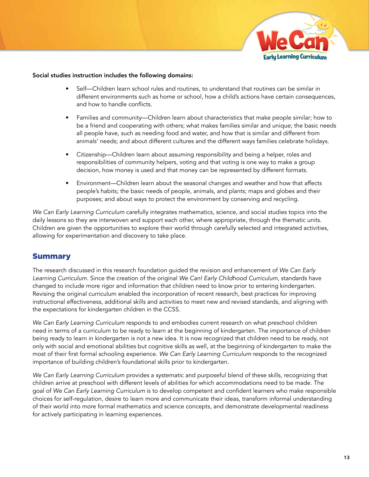

#### Social studies instruction includes the following domains:

- Self—Children learn school rules and routines, to understand that routines can be similar in different environments such as home or school, how a child's actions have certain consequences, and how to handle conflicts.
- Families and community—Children learn about characteristics that make people similar; how to be a friend and cooperating with others; what makes families similar and unique; the basic needs all people have, such as needing food and water, and how that is similar and different from animals' needs; and about different cultures and the different ways families celebrate holidays.
- Citizenship—Children learn about assuming responsibility and being a helper, roles and responsibilities of community helpers, voting and that voting is one way to make a group decision, how money is used and that money can be represented by different formats.
- Environment—Children learn about the seasonal changes and weather and how that affects people's habits; the basic needs of people, animals, and plants; maps and globes and their purposes; and about ways to protect the environment by conserving and recycling.

*We Can Early Learning Curriculum* carefully integrates mathematics, science, and social studies topics into the daily lessons so they are interwoven and support each other, where appropriate, through the thematic units. Children are given the opportunities to explore their world through carefully selected and integrated activities, allowing for experimentation and discovery to take place.

### Summary

The research discussed in this research foundation guided the revision and enhancement of *We Can Early Learning Curriculum*. Since the creation of the original *We Can! Early Childhood Curriculum*, standards have changed to include more rigor and information that children need to know prior to entering kindergarten. Revising the original curriculum enabled the incorporation of recent research, best practices for improving instructional effectiveness, additional skills and activities to meet new and revised standards, and aligning with the expectations for kindergarten children in the CCSS.

*We Can Early Learning Curriculum* responds to and embodies current research on what preschool children need in terms of a curriculum to be ready to learn at the beginning of kindergarten. The importance of children being ready to learn in kindergarten is not a new idea. It is now recognized that children need to be ready, not only with social and emotional abilities but cognitive skills as well, at the beginning of kindergarten to make the most of their first formal schooling experience. *We Can Early Learning Curriculum* responds to the recognized importance of building children's foundational skills prior to kindergarten.

*We Can Early Learning Curriculum* provides a systematic and purposeful blend of these skills, recognizing that children arrive at preschool with different levels of abilities for which accommodations need to be made. The goal of *We Can Early Learning Curriculum* is to develop competent and confident learners who make responsible choices for self-regulation, desire to learn more and communicate their ideas, transform informal understanding of their world into more formal mathematics and science concepts, and demonstrate developmental readiness for actively participating in learning experiences.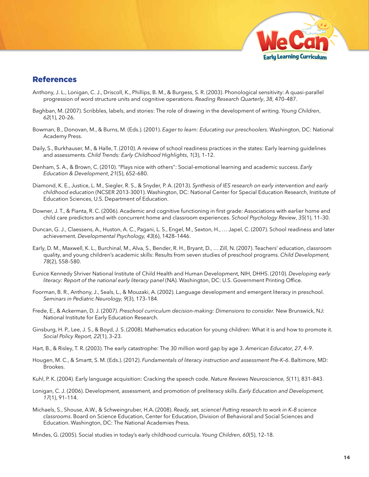

### References

- Anthony, J. L., Lonigan, C. J., Driscoll, K., Phillips, B. M., & Burgess, S. R. (2003). Phonological sensitivity: A quasi-parallel progression of word structure units and cognitive operations. *Reading Research Quarterly*, *38*, 470–487.
- Baghban, M. (2007). Scribbles, labels, and stories: The role of drawing in the development of writing. *Young Children*, *62*(1), 20–26.
- Bowman, B., Donovan, M., & Burns, M. (Eds.). (2001). *Eager to learn: Educating our preschoolers*. Washington, DC: National Academy Press.
- Daily, S., Burkhauser, M., & Halle, T. (2010). A review of school readiness practices in the states: Early learning guidelines and assessments. *Child Trends: Early Childhood Highlights*, *1*(3), 1–12.
- Denham, S. A., & Brown, C. (2010). "Plays nice with others": Social-emotional learning and academic success. *Early Education & Development*, *21*(5), 652–680.
- Diamond, K. E., Justice, L. M., Siegler, R. S., & Snyder, P. A. (2013). *Synthesis of IES research on early intervention and early childhood education* (NCSER 2013-3001). Washington, DC: National Center for Special Education Research, Institute of Education Sciences, U.S. Department of Education.
- Downer, J. T., & Pianta, R. C. (2006). Academic and cognitive functioning in first grade: Associations with earlier home and child care predictors and with concurrent home and classroom experiences. *School Psychology Review*, *35*(1), 11–30.
- Duncan, G. J., Claessens, A., Huston, A. C., Pagani, L. S., Engel, M., Sexton, H., … Japel, C. (2007). School readiness and later achievement. *Developmental Psychology, 43*(6), 1428–1446.
- Early, D. M., Maxwell, K. L., Burchinal, M., Alva, S., Bender, R. H., Bryant, D., … Zill, N. (2007). Teachers' education, classroom quality, and young children's academic skills: Results from seven studies of preschool programs. *Child Development, 78*(2), 558–580.
- Eunice Kennedy Shriver National Institute of Child Health and Human Development, NIH, DHHS. (2010). *Developing early literacy: Report of the national early literacy panel* (NA). Washington, DC: U.S. Government Printing Office.
- Foorman, B. R., Anthony, J., Seals, L., & Mouzaki, A. (2002). Language development and emergent literacy in preschool. *Seminars in Pediatric Neurology, 9*(3), 173–184.
- Frede, E., & Ackerman, D. J. (2007). *Preschool curriculum decision-making: Dimensions to consider.* New Brunswick, NJ: National Institute for Early Education Research.
- Ginsburg, H. P., Lee, J. S., & Boyd, J. S. (2008). Mathematics education for young children: What it is and how to promote it. *Social Policy Report, 22*(1), 3–23.
- Hart, B., & Risley, T. R. (2003). The early catastrophe: The 30 million word gap by age 3. *American Educator, 27*, 4–9.
- Hougen, M. C., & Smartt, S. M. (Eds.). (2012). *Fundamentals of literacy instruction and assessment Pre-K–6*. Baltimore, MD: Brookes.
- Kuhl, P. K. (2004). Early language acquisition: Cracking the speech code. *Nature Reviews Neuroscience, 5*(11), 831–843.
- Lonigan, C. J. (2006). Development, assessment, and promotion of preliteracy skills. *Early Education and Development, 17*(1), 91–114.
- Michaels, S., Shouse, A.W., & Schweingruber, H.A. (2008). *Ready, set, science! Putting research to work in K–8 science classrooms*. Board on Science Education, Center for Education, Division of Behavioral and Social Sciences and Education. Washington, DC: The National Academies Press.
- Mindes, G. (2005). Social studies in today's early childhood curricula. *Young Children, 60*(5), 12–18.